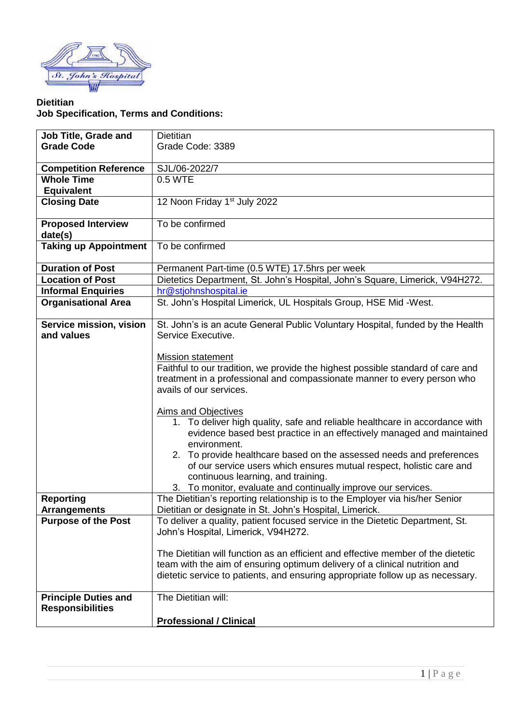

## **Dietitian Job Specification, Terms and Conditions:**

| Job Title, Grade and                  | <b>Dietitian</b>                                                                                     |
|---------------------------------------|------------------------------------------------------------------------------------------------------|
| <b>Grade Code</b>                     | Grade Code: 3389                                                                                     |
|                                       |                                                                                                      |
| <b>Competition Reference</b>          | SJL/06-2022/7                                                                                        |
| <b>Whole Time</b>                     | 0.5 WTE                                                                                              |
|                                       |                                                                                                      |
| <b>Equivalent</b>                     |                                                                                                      |
| <b>Closing Date</b>                   | 12 Noon Friday 1 <sup>st</sup> July 2022                                                             |
| <b>Proposed Interview</b>             | To be confirmed                                                                                      |
| date(s)                               |                                                                                                      |
| <b>Taking up Appointment</b>          | To be confirmed                                                                                      |
| <b>Duration of Post</b>               | Permanent Part-time (0.5 WTE) 17.5hrs per week                                                       |
| <b>Location of Post</b>               | Dietetics Department, St. John's Hospital, John's Square, Limerick, V94H272.                         |
| <b>Informal Enquiries</b>             | hr@stjohnshospital.ie                                                                                |
| <b>Organisational Area</b>            | St. John's Hospital Limerick, UL Hospitals Group, HSE Mid -West.                                     |
|                                       |                                                                                                      |
| Service mission, vision<br>and values | St. John's is an acute General Public Voluntary Hospital, funded by the Health<br>Service Executive. |
|                                       |                                                                                                      |
|                                       |                                                                                                      |
|                                       | <b>Mission statement</b>                                                                             |
|                                       | Faithful to our tradition, we provide the highest possible standard of care and                      |
|                                       | treatment in a professional and compassionate manner to every person who                             |
|                                       | avails of our services.                                                                              |
|                                       |                                                                                                      |
|                                       | Aims and Objectives                                                                                  |
|                                       | 1. To deliver high quality, safe and reliable healthcare in accordance with                          |
|                                       | evidence based best practice in an effectively managed and maintained                                |
|                                       | environment.                                                                                         |
|                                       | 2. To provide healthcare based on the assessed needs and preferences                                 |
|                                       | of our service users which ensures mutual respect, holistic care and                                 |
|                                       | continuous learning, and training.                                                                   |
|                                       | 3. To monitor, evaluate and continually improve our services.                                        |
| <b>Reporting</b>                      | The Dietitian's reporting relationship is to the Employer via his/her Senior                         |
| <b>Arrangements</b>                   | Dietitian or designate in St. John's Hospital, Limerick.                                             |
| <b>Purpose of the Post</b>            | To deliver a quality, patient focused service in the Dietetic Department, St.                        |
|                                       | John's Hospital, Limerick, V94H272.                                                                  |
|                                       |                                                                                                      |
|                                       | The Dietitian will function as an efficient and effective member of the dietetic                     |
|                                       | team with the aim of ensuring optimum delivery of a clinical nutrition and                           |
|                                       | dietetic service to patients, and ensuring appropriate follow up as necessary.                       |
| <b>Principle Duties and</b>           | The Dietitian will:                                                                                  |
| <b>Responsibilities</b>               |                                                                                                      |
|                                       | <b>Professional / Clinical</b>                                                                       |
|                                       |                                                                                                      |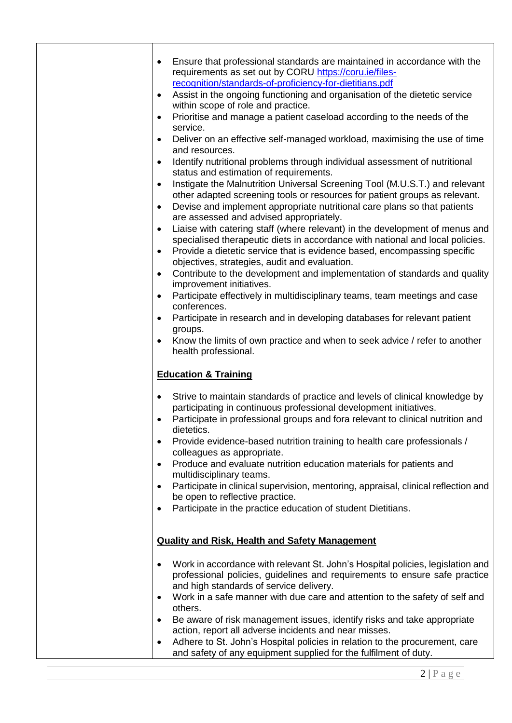| $\bullet$<br>٠<br>٠<br>$\bullet$<br>$\bullet$ | Ensure that professional standards are maintained in accordance with the<br>requirements as set out by CORU https://coru.ie/files-<br>recognition/standards-of-proficiency-for-dietitians.pdf<br>Assist in the ongoing functioning and organisation of the dietetic service<br>within scope of role and practice.<br>Prioritise and manage a patient caseload according to the needs of the<br>service.<br>Deliver on an effective self-managed workload, maximising the use of time<br>and resources.<br>Identify nutritional problems through individual assessment of nutritional<br>status and estimation of requirements. |
|-----------------------------------------------|--------------------------------------------------------------------------------------------------------------------------------------------------------------------------------------------------------------------------------------------------------------------------------------------------------------------------------------------------------------------------------------------------------------------------------------------------------------------------------------------------------------------------------------------------------------------------------------------------------------------------------|
| $\bullet$                                     | Instigate the Malnutrition Universal Screening Tool (M.U.S.T.) and relevant<br>other adapted screening tools or resources for patient groups as relevant.                                                                                                                                                                                                                                                                                                                                                                                                                                                                      |
| $\bullet$                                     | Devise and implement appropriate nutritional care plans so that patients                                                                                                                                                                                                                                                                                                                                                                                                                                                                                                                                                       |
| $\bullet$<br>$\bullet$                        | are assessed and advised appropriately.<br>Liaise with catering staff (where relevant) in the development of menus and<br>specialised therapeutic diets in accordance with national and local policies.<br>Provide a dietetic service that is evidence based, encompassing specific<br>objectives, strategies, audit and evaluation.                                                                                                                                                                                                                                                                                           |
| $\bullet$                                     | Contribute to the development and implementation of standards and quality<br>improvement initiatives.                                                                                                                                                                                                                                                                                                                                                                                                                                                                                                                          |
| ٠                                             | Participate effectively in multidisciplinary teams, team meetings and case<br>conferences.                                                                                                                                                                                                                                                                                                                                                                                                                                                                                                                                     |
| $\bullet$                                     | Participate in research and in developing databases for relevant patient<br>groups.                                                                                                                                                                                                                                                                                                                                                                                                                                                                                                                                            |
| $\bullet$                                     | Know the limits of own practice and when to seek advice / refer to another<br>health professional.                                                                                                                                                                                                                                                                                                                                                                                                                                                                                                                             |
|                                               | <b>Education &amp; Training</b>                                                                                                                                                                                                                                                                                                                                                                                                                                                                                                                                                                                                |
| $\bullet$<br>٠                                | Strive to maintain standards of practice and levels of clinical knowledge by<br>participating in continuous professional development initiatives.<br>Participate in professional groups and fora relevant to clinical nutrition and<br>dietetics.                                                                                                                                                                                                                                                                                                                                                                              |
| ٠                                             | Provide evidence-based nutrition training to health care professionals /<br>colleagues as appropriate.                                                                                                                                                                                                                                                                                                                                                                                                                                                                                                                         |
| $\bullet$                                     | Produce and evaluate nutrition education materials for patients and<br>multidisciplinary teams.                                                                                                                                                                                                                                                                                                                                                                                                                                                                                                                                |
|                                               | Participate in clinical supervision, mentoring, appraisal, clinical reflection and<br>be open to reflective practice.                                                                                                                                                                                                                                                                                                                                                                                                                                                                                                          |
| ٠                                             | Participate in the practice education of student Dietitians.                                                                                                                                                                                                                                                                                                                                                                                                                                                                                                                                                                   |
|                                               | <b>Quality and Risk, Health and Safety Management</b>                                                                                                                                                                                                                                                                                                                                                                                                                                                                                                                                                                          |
|                                               | Work in accordance with relevant St. John's Hospital policies, legislation and<br>professional policies, guidelines and requirements to ensure safe practice<br>and high standards of service delivery.                                                                                                                                                                                                                                                                                                                                                                                                                        |
| $\bullet$                                     | Work in a safe manner with due care and attention to the safety of self and<br>others.                                                                                                                                                                                                                                                                                                                                                                                                                                                                                                                                         |
| ٠                                             | Be aware of risk management issues, identify risks and take appropriate                                                                                                                                                                                                                                                                                                                                                                                                                                                                                                                                                        |
| ٠                                             | action, report all adverse incidents and near misses.<br>Adhere to St. John's Hospital policies in relation to the procurement, care<br>and safety of any equipment supplied for the fulfilment of duty.                                                                                                                                                                                                                                                                                                                                                                                                                       |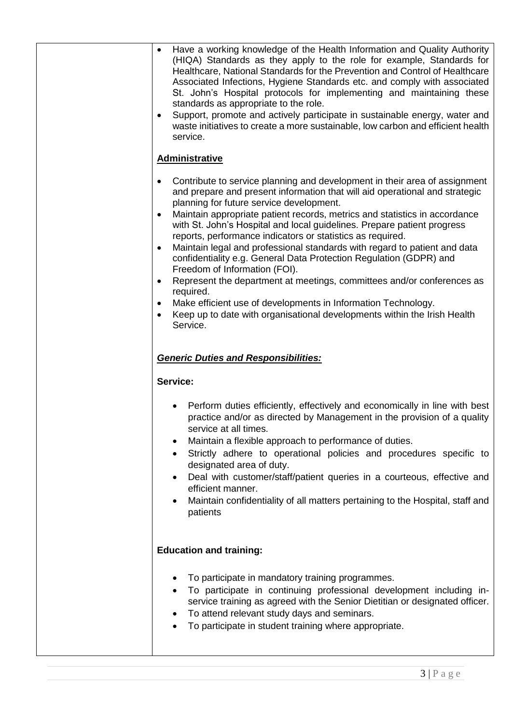| Have a working knowledge of the Health Information and Quality Authority<br>$\bullet$<br>(HIQA) Standards as they apply to the role for example, Standards for<br>Healthcare, National Standards for the Prevention and Control of Healthcare<br>Associated Infections, Hygiene Standards etc. and comply with associated |
|---------------------------------------------------------------------------------------------------------------------------------------------------------------------------------------------------------------------------------------------------------------------------------------------------------------------------|
| St. John's Hospital protocols for implementing and maintaining these<br>standards as appropriate to the role.                                                                                                                                                                                                             |
| Support, promote and actively participate in sustainable energy, water and<br>$\bullet$<br>waste initiatives to create a more sustainable, low carbon and efficient health<br>service.                                                                                                                                    |
| <b>Administrative</b>                                                                                                                                                                                                                                                                                                     |
| Contribute to service planning and development in their area of assignment<br>$\bullet$<br>and prepare and present information that will aid operational and strategic<br>planning for future service development.                                                                                                        |
| Maintain appropriate patient records, metrics and statistics in accordance<br>with St. John's Hospital and local guidelines. Prepare patient progress<br>reports, performance indicators or statistics as required.                                                                                                       |
| Maintain legal and professional standards with regard to patient and data<br>$\bullet$<br>confidentiality e.g. General Data Protection Regulation (GDPR) and<br>Freedom of Information (FOI).                                                                                                                             |
| Represent the department at meetings, committees and/or conferences as<br>$\bullet$<br>required.                                                                                                                                                                                                                          |
| Make efficient use of developments in Information Technology.<br>Keep up to date with organisational developments within the Irish Health<br>$\bullet$<br>Service.                                                                                                                                                        |
| <b>Generic Duties and Responsibilities:</b>                                                                                                                                                                                                                                                                               |
| Service:                                                                                                                                                                                                                                                                                                                  |
| Perform duties efficiently, effectively and economically in line with best                                                                                                                                                                                                                                                |
| practice and/or as directed by Management in the provision of a quality<br>service at all times.                                                                                                                                                                                                                          |
| Maintain a flexible approach to performance of duties.<br>Strictly adhere to operational policies and procedures specific to                                                                                                                                                                                              |
| designated area of duty.<br>Deal with customer/staff/patient queries in a courteous, effective and                                                                                                                                                                                                                        |
| efficient manner.<br>Maintain confidentiality of all matters pertaining to the Hospital, staff and<br>patients                                                                                                                                                                                                            |
|                                                                                                                                                                                                                                                                                                                           |
| <b>Education and training:</b>                                                                                                                                                                                                                                                                                            |
| To participate in mandatory training programmes.<br>To participate in continuing professional development including in-<br>service training as agreed with the Senior Dietitian or designated officer.<br>To attend relevant study days and seminars.                                                                     |
| To participate in student training where appropriate.<br>$\bullet$                                                                                                                                                                                                                                                        |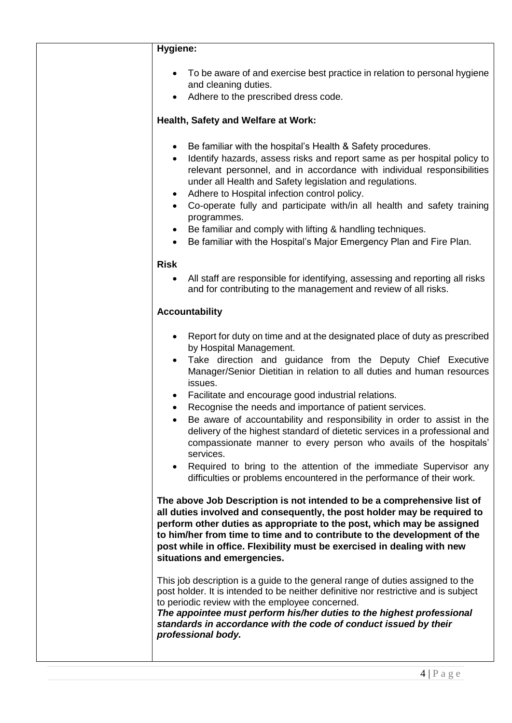| Hygiene:                                                                                                                                                                                                                                                                                                                                                                                                                                                                                                                                                                                                                                                                                                                                                               |
|------------------------------------------------------------------------------------------------------------------------------------------------------------------------------------------------------------------------------------------------------------------------------------------------------------------------------------------------------------------------------------------------------------------------------------------------------------------------------------------------------------------------------------------------------------------------------------------------------------------------------------------------------------------------------------------------------------------------------------------------------------------------|
| To be aware of and exercise best practice in relation to personal hygiene<br>and cleaning duties.<br>Adhere to the prescribed dress code.                                                                                                                                                                                                                                                                                                                                                                                                                                                                                                                                                                                                                              |
| Health, Safety and Welfare at Work:                                                                                                                                                                                                                                                                                                                                                                                                                                                                                                                                                                                                                                                                                                                                    |
| Be familiar with the hospital's Health & Safety procedures.<br>Identify hazards, assess risks and report same as per hospital policy to<br>$\bullet$<br>relevant personnel, and in accordance with individual responsibilities<br>under all Health and Safety legislation and regulations.<br>Adhere to Hospital infection control policy.<br>$\bullet$<br>Co-operate fully and participate with/in all health and safety training<br>$\bullet$<br>programmes.<br>Be familiar and comply with lifting & handling techniques.<br>$\bullet$<br>Be familiar with the Hospital's Major Emergency Plan and Fire Plan.<br>$\bullet$                                                                                                                                          |
| <b>Risk</b>                                                                                                                                                                                                                                                                                                                                                                                                                                                                                                                                                                                                                                                                                                                                                            |
| All staff are responsible for identifying, assessing and reporting all risks<br>$\bullet$<br>and for contributing to the management and review of all risks.                                                                                                                                                                                                                                                                                                                                                                                                                                                                                                                                                                                                           |
| <b>Accountability</b>                                                                                                                                                                                                                                                                                                                                                                                                                                                                                                                                                                                                                                                                                                                                                  |
| Report for duty on time and at the designated place of duty as prescribed<br>by Hospital Management.<br>Take direction and guidance from the Deputy Chief Executive<br>Manager/Senior Dietitian in relation to all duties and human resources<br>issues.<br>Facilitate and encourage good industrial relations.<br>Recognise the needs and importance of patient services.<br>Be aware of accountability and responsibility in order to assist in the<br>delivery of the highest standard of dietetic services in a professional and<br>compassionate manner to every person who avails of the hospitals'<br>services.<br>Required to bring to the attention of the immediate Supervisor any<br>difficulties or problems encountered in the performance of their work. |
| The above Job Description is not intended to be a comprehensive list of<br>all duties involved and consequently, the post holder may be required to<br>perform other duties as appropriate to the post, which may be assigned<br>to him/her from time to time and to contribute to the development of the<br>post while in office. Flexibility must be exercised in dealing with new<br>situations and emergencies.                                                                                                                                                                                                                                                                                                                                                    |
| This job description is a guide to the general range of duties assigned to the<br>post holder. It is intended to be neither definitive nor restrictive and is subject<br>to periodic review with the employee concerned.<br>The appointee must perform his/her duties to the highest professional<br>standards in accordance with the code of conduct issued by their<br>professional body.                                                                                                                                                                                                                                                                                                                                                                            |
|                                                                                                                                                                                                                                                                                                                                                                                                                                                                                                                                                                                                                                                                                                                                                                        |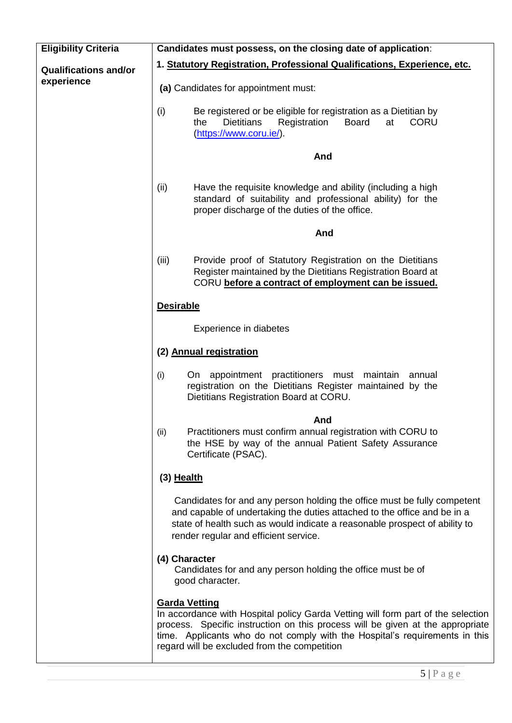| <b>Eligibility Criteria</b>  | Candidates must possess, on the closing date of application:                                                                                                                                                                                                                                                              |
|------------------------------|---------------------------------------------------------------------------------------------------------------------------------------------------------------------------------------------------------------------------------------------------------------------------------------------------------------------------|
| <b>Qualifications and/or</b> | 1. Statutory Registration, Professional Qualifications, Experience, etc.                                                                                                                                                                                                                                                  |
| experience                   | (a) Candidates for appointment must:                                                                                                                                                                                                                                                                                      |
|                              | (i)<br>Be registered or be eligible for registration as a Dietitian by<br>the<br><b>Dietitians</b><br>Registration<br><b>Board</b><br>at<br><b>CORU</b><br>(https://www.coru.ie/).                                                                                                                                        |
|                              | And                                                                                                                                                                                                                                                                                                                       |
|                              | (ii)<br>Have the requisite knowledge and ability (including a high<br>standard of suitability and professional ability) for the<br>proper discharge of the duties of the office.                                                                                                                                          |
|                              | And                                                                                                                                                                                                                                                                                                                       |
|                              | (iii)<br>Provide proof of Statutory Registration on the Dietitians<br>Register maintained by the Dietitians Registration Board at<br>CORU before a contract of employment can be issued.                                                                                                                                  |
|                              | <b>Desirable</b>                                                                                                                                                                                                                                                                                                          |
|                              | Experience in diabetes                                                                                                                                                                                                                                                                                                    |
|                              | (2) Annual registration                                                                                                                                                                                                                                                                                                   |
|                              | appointment practitioners<br>must maintain<br>(i)<br>On.<br>annual<br>registration on the Dietitians Register maintained by the<br>Dietitians Registration Board at CORU.                                                                                                                                                 |
|                              | And<br>Practitioners must confirm annual registration with CORU to<br>(ii)<br>the HSE by way of the annual Patient Safety Assurance<br>Certificate (PSAC).                                                                                                                                                                |
|                              | $(3)$ Health                                                                                                                                                                                                                                                                                                              |
|                              | Candidates for and any person holding the office must be fully competent<br>and capable of undertaking the duties attached to the office and be in a<br>state of health such as would indicate a reasonable prospect of ability to<br>render regular and efficient service.                                               |
|                              | (4) Character<br>Candidates for and any person holding the office must be of<br>good character.                                                                                                                                                                                                                           |
|                              | <b>Garda Vetting</b><br>In accordance with Hospital policy Garda Vetting will form part of the selection<br>process. Specific instruction on this process will be given at the appropriate<br>time. Applicants who do not comply with the Hospital's requirements in this<br>regard will be excluded from the competition |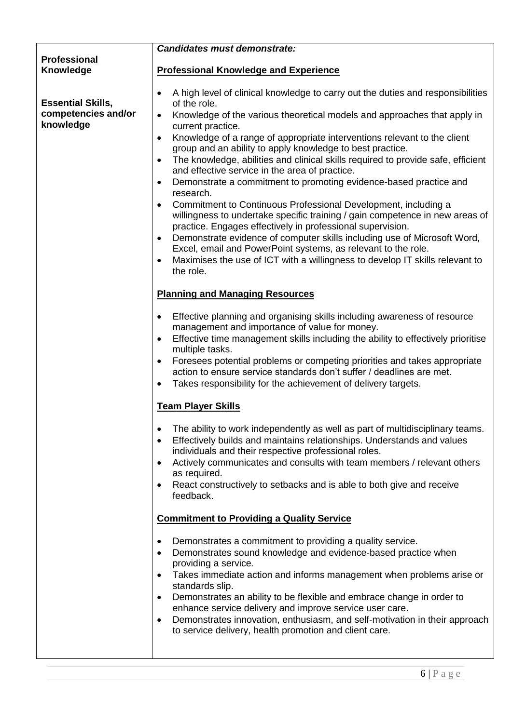|                                                 | <b>Candidates must demonstrate:</b>                                                                                                                                                                                                                                                                                                                                                                                                                                                                                                                                   |
|-------------------------------------------------|-----------------------------------------------------------------------------------------------------------------------------------------------------------------------------------------------------------------------------------------------------------------------------------------------------------------------------------------------------------------------------------------------------------------------------------------------------------------------------------------------------------------------------------------------------------------------|
| Professional                                    |                                                                                                                                                                                                                                                                                                                                                                                                                                                                                                                                                                       |
| Knowledge                                       | <b>Professional Knowledge and Experience</b>                                                                                                                                                                                                                                                                                                                                                                                                                                                                                                                          |
| <b>Essential Skills,</b><br>competencies and/or | A high level of clinical knowledge to carry out the duties and responsibilities<br>of the role.<br>Knowledge of the various theoretical models and approaches that apply in<br>$\bullet$                                                                                                                                                                                                                                                                                                                                                                              |
| knowledge                                       | current practice.                                                                                                                                                                                                                                                                                                                                                                                                                                                                                                                                                     |
|                                                 | Knowledge of a range of appropriate interventions relevant to the client<br>$\bullet$<br>group and an ability to apply knowledge to best practice.<br>The knowledge, abilities and clinical skills required to provide safe, efficient<br>$\bullet$<br>and effective service in the area of practice.                                                                                                                                                                                                                                                                 |
|                                                 | Demonstrate a commitment to promoting evidence-based practice and<br>$\bullet$<br>research.                                                                                                                                                                                                                                                                                                                                                                                                                                                                           |
|                                                 | Commitment to Continuous Professional Development, including a<br>willingness to undertake specific training / gain competence in new areas of<br>practice. Engages effectively in professional supervision.<br>Demonstrate evidence of computer skills including use of Microsoft Word,<br>$\bullet$<br>Excel, email and PowerPoint systems, as relevant to the role.<br>Maximises the use of ICT with a willingness to develop IT skills relevant to<br>$\bullet$<br>the role.                                                                                      |
|                                                 | <b>Planning and Managing Resources</b>                                                                                                                                                                                                                                                                                                                                                                                                                                                                                                                                |
|                                                 | Effective planning and organising skills including awareness of resource<br>$\bullet$<br>management and importance of value for money.<br>Effective time management skills including the ability to effectively prioritise<br>$\bullet$<br>multiple tasks.<br>Foresees potential problems or competing priorities and takes appropriate<br>$\bullet$<br>action to ensure service standards don't suffer / deadlines are met.<br>Takes responsibility for the achievement of delivery targets.<br>$\bullet$                                                            |
|                                                 | <b>Team Player Skills</b>                                                                                                                                                                                                                                                                                                                                                                                                                                                                                                                                             |
|                                                 | The ability to work independently as well as part of multidisciplinary teams.<br>Effectively builds and maintains relationships. Understands and values<br>$\bullet$<br>individuals and their respective professional roles.<br>Actively communicates and consults with team members / relevant others<br>$\bullet$<br>as required.<br>React constructively to setbacks and is able to both give and receive<br>feedback.                                                                                                                                             |
|                                                 | <b>Commitment to Providing a Quality Service</b>                                                                                                                                                                                                                                                                                                                                                                                                                                                                                                                      |
|                                                 | Demonstrates a commitment to providing a quality service.<br>٠<br>Demonstrates sound knowledge and evidence-based practice when<br>$\bullet$<br>providing a service.<br>Takes immediate action and informs management when problems arise or<br>$\bullet$<br>standards slip.<br>Demonstrates an ability to be flexible and embrace change in order to<br>enhance service delivery and improve service user care.<br>Demonstrates innovation, enthusiasm, and self-motivation in their approach<br>$\bullet$<br>to service delivery, health promotion and client care. |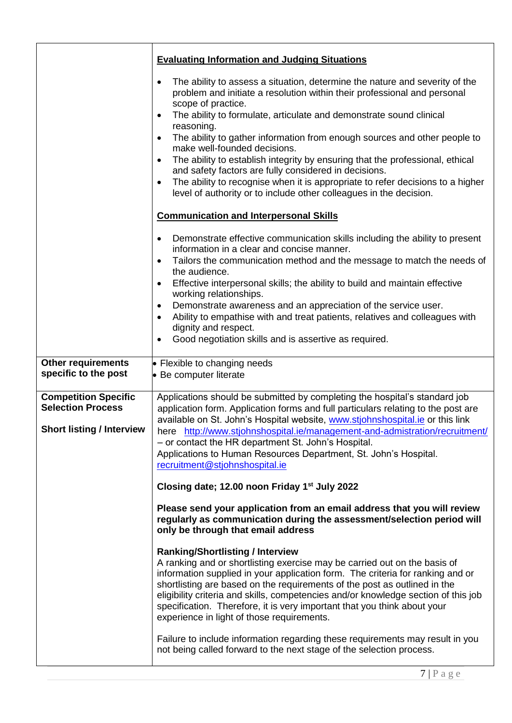|                                                                                             | <b>Evaluating Information and Judging Situations</b>                                                                                                                                                                                                                                                                                                                                                                                                                                                                                                                                                                                                                                                                     |
|---------------------------------------------------------------------------------------------|--------------------------------------------------------------------------------------------------------------------------------------------------------------------------------------------------------------------------------------------------------------------------------------------------------------------------------------------------------------------------------------------------------------------------------------------------------------------------------------------------------------------------------------------------------------------------------------------------------------------------------------------------------------------------------------------------------------------------|
|                                                                                             | The ability to assess a situation, determine the nature and severity of the<br>problem and initiate a resolution within their professional and personal<br>scope of practice.<br>The ability to formulate, articulate and demonstrate sound clinical<br>$\bullet$<br>reasoning.<br>The ability to gather information from enough sources and other people to<br>$\bullet$<br>make well-founded decisions.<br>The ability to establish integrity by ensuring that the professional, ethical<br>and safety factors are fully considered in decisions.<br>The ability to recognise when it is appropriate to refer decisions to a higher<br>$\bullet$<br>level of authority or to include other colleagues in the decision. |
|                                                                                             | <b>Communication and Interpersonal Skills</b>                                                                                                                                                                                                                                                                                                                                                                                                                                                                                                                                                                                                                                                                            |
|                                                                                             | Demonstrate effective communication skills including the ability to present<br>$\bullet$<br>information in a clear and concise manner.<br>Tailors the communication method and the message to match the needs of<br>$\bullet$<br>the audience.<br>Effective interpersonal skills; the ability to build and maintain effective<br>working relationships.<br>Demonstrate awareness and an appreciation of the service user.<br>$\bullet$<br>Ability to empathise with and treat patients, relatives and colleagues with<br>$\bullet$<br>dignity and respect.<br>Good negotiation skills and is assertive as required.                                                                                                      |
|                                                                                             |                                                                                                                                                                                                                                                                                                                                                                                                                                                                                                                                                                                                                                                                                                                          |
| <b>Other requirements</b><br>specific to the post                                           | • Flexible to changing needs<br>• Be computer literate                                                                                                                                                                                                                                                                                                                                                                                                                                                                                                                                                                                                                                                                   |
| <b>Competition Specific</b><br><b>Selection Process</b><br><b>Short listing / Interview</b> | Applications should be submitted by completing the hospital's standard job<br>application form. Application forms and full particulars relating to the post are<br>available on St. John's Hospital website, www.stjohnshospital.ie or this link<br>here http://www.stjohnshospital.ie/management-and-admistration/recruitment/<br>- or contact the HR department St. John's Hospital.<br>Applications to Human Resources Department, St. John's Hospital.<br>recruitment@stjohnshospital.ie                                                                                                                                                                                                                             |
|                                                                                             | Closing date; 12.00 noon Friday 1 <sup>st</sup> July 2022                                                                                                                                                                                                                                                                                                                                                                                                                                                                                                                                                                                                                                                                |
|                                                                                             | Please send your application from an email address that you will review<br>regularly as communication during the assessment/selection period will<br>only be through that email address                                                                                                                                                                                                                                                                                                                                                                                                                                                                                                                                  |
|                                                                                             | <b>Ranking/Shortlisting / Interview</b><br>A ranking and or shortlisting exercise may be carried out on the basis of<br>information supplied in your application form. The criteria for ranking and or<br>shortlisting are based on the requirements of the post as outlined in the<br>eligibility criteria and skills, competencies and/or knowledge section of this job<br>specification. Therefore, it is very important that you think about your<br>experience in light of those requirements.<br>Failure to include information regarding these requirements may result in you                                                                                                                                     |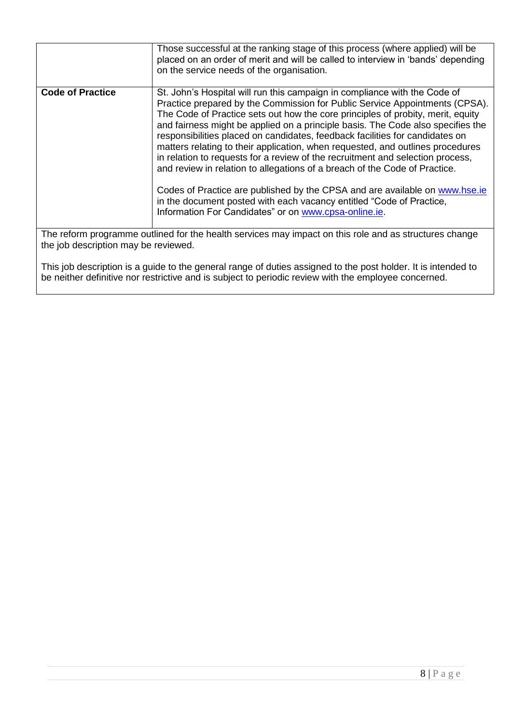|                                                                                                                                                                                                                                   | Those successful at the ranking stage of this process (where applied) will be<br>placed on an order of merit and will be called to interview in 'bands' depending<br>on the service needs of the organisation.                                                                                                                                                                                                                                                                                                                                                                                                                                                                                                                                                                                                                                                                   |
|-----------------------------------------------------------------------------------------------------------------------------------------------------------------------------------------------------------------------------------|----------------------------------------------------------------------------------------------------------------------------------------------------------------------------------------------------------------------------------------------------------------------------------------------------------------------------------------------------------------------------------------------------------------------------------------------------------------------------------------------------------------------------------------------------------------------------------------------------------------------------------------------------------------------------------------------------------------------------------------------------------------------------------------------------------------------------------------------------------------------------------|
| <b>Code of Practice</b>                                                                                                                                                                                                           | St. John's Hospital will run this campaign in compliance with the Code of<br>Practice prepared by the Commission for Public Service Appointments (CPSA).<br>The Code of Practice sets out how the core principles of probity, merit, equity<br>and fairness might be applied on a principle basis. The Code also specifies the<br>responsibilities placed on candidates, feedback facilities for candidates on<br>matters relating to their application, when requested, and outlines procedures<br>in relation to requests for a review of the recruitment and selection process,<br>and review in relation to allegations of a breach of the Code of Practice.<br>Codes of Practice are published by the CPSA and are available on www.hse.ie<br>in the document posted with each vacancy entitled "Code of Practice,<br>Information For Candidates" or on www.cpsa-online.ie. |
| The reform programme outlined for the health services may impact on this role and as structures change<br>the job description may be reviewed.                                                                                    |                                                                                                                                                                                                                                                                                                                                                                                                                                                                                                                                                                                                                                                                                                                                                                                                                                                                                  |
| $\mathbf{r}$ , and the contract of the contract of the contract of the contract of the contract of the contract of the contract of the contract of the contract of the contract of the contract of the contract of the contract o |                                                                                                                                                                                                                                                                                                                                                                                                                                                                                                                                                                                                                                                                                                                                                                                                                                                                                  |

This job description is a guide to the general range of duties assigned to the post holder. It is intended to be neither definitive nor restrictive and is subject to periodic review with the employee concerned.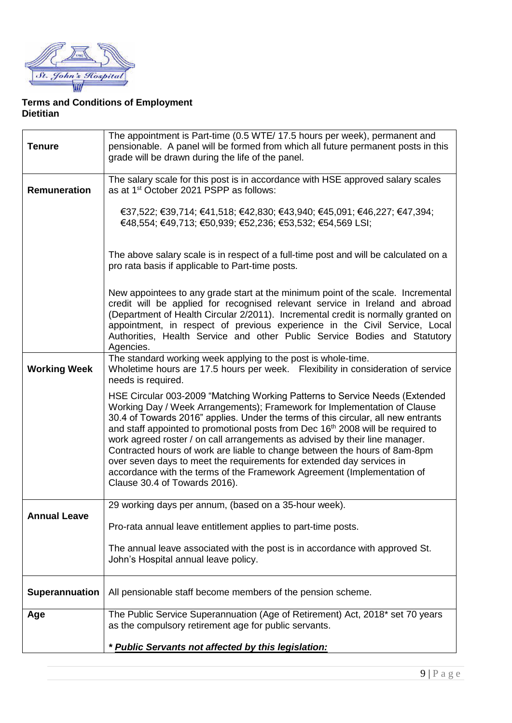

## **Terms and Conditions of Employment Dietitian**

| <b>Tenure</b>       | The appointment is Part-time (0.5 WTE/ 17.5 hours per week), permanent and<br>pensionable. A panel will be formed from which all future permanent posts in this<br>grade will be drawn during the life of the panel.                                                                                                                                                                                                                                                                                                                                                                                                                                                                          |
|---------------------|-----------------------------------------------------------------------------------------------------------------------------------------------------------------------------------------------------------------------------------------------------------------------------------------------------------------------------------------------------------------------------------------------------------------------------------------------------------------------------------------------------------------------------------------------------------------------------------------------------------------------------------------------------------------------------------------------|
| <b>Remuneration</b> | The salary scale for this post is in accordance with HSE approved salary scales<br>as at 1 <sup>st</sup> October 2021 PSPP as follows:                                                                                                                                                                                                                                                                                                                                                                                                                                                                                                                                                        |
|                     | €37,522; €39,714; €41,518; €42,830; €43,940; €45,091; €46,227; €47,394;<br>€48,554; €49,713; €50,939; €52,236; €53,532; €54,569 LSI;                                                                                                                                                                                                                                                                                                                                                                                                                                                                                                                                                          |
|                     | The above salary scale is in respect of a full-time post and will be calculated on a<br>pro rata basis if applicable to Part-time posts.                                                                                                                                                                                                                                                                                                                                                                                                                                                                                                                                                      |
|                     | New appointees to any grade start at the minimum point of the scale. Incremental<br>credit will be applied for recognised relevant service in Ireland and abroad<br>(Department of Health Circular 2/2011). Incremental credit is normally granted on<br>appointment, in respect of previous experience in the Civil Service, Local<br>Authorities, Health Service and other Public Service Bodies and Statutory<br>Agencies.                                                                                                                                                                                                                                                                 |
| <b>Working Week</b> | The standard working week applying to the post is whole-time.<br>Wholetime hours are 17.5 hours per week. Flexibility in consideration of service<br>needs is required.                                                                                                                                                                                                                                                                                                                                                                                                                                                                                                                       |
|                     | HSE Circular 003-2009 "Matching Working Patterns to Service Needs (Extended<br>Working Day / Week Arrangements); Framework for Implementation of Clause<br>30.4 of Towards 2016" applies. Under the terms of this circular, all new entrants<br>and staff appointed to promotional posts from Dec 16 <sup>th</sup> 2008 will be required to<br>work agreed roster / on call arrangements as advised by their line manager.<br>Contracted hours of work are liable to change between the hours of 8am-8pm<br>over seven days to meet the requirements for extended day services in<br>accordance with the terms of the Framework Agreement (Implementation of<br>Clause 30.4 of Towards 2016). |
| <b>Annual Leave</b> | 29 working days per annum, (based on a 35-hour week).<br>Pro-rata annual leave entitlement applies to part-time posts.                                                                                                                                                                                                                                                                                                                                                                                                                                                                                                                                                                        |
|                     | The annual leave associated with the post is in accordance with approved St.<br>John's Hospital annual leave policy.                                                                                                                                                                                                                                                                                                                                                                                                                                                                                                                                                                          |
| Superannuation      | All pensionable staff become members of the pension scheme.                                                                                                                                                                                                                                                                                                                                                                                                                                                                                                                                                                                                                                   |
| Age                 | The Public Service Superannuation (Age of Retirement) Act, 2018* set 70 years<br>as the compulsory retirement age for public servants.                                                                                                                                                                                                                                                                                                                                                                                                                                                                                                                                                        |
|                     | * Public Servants not affected by this legislation:                                                                                                                                                                                                                                                                                                                                                                                                                                                                                                                                                                                                                                           |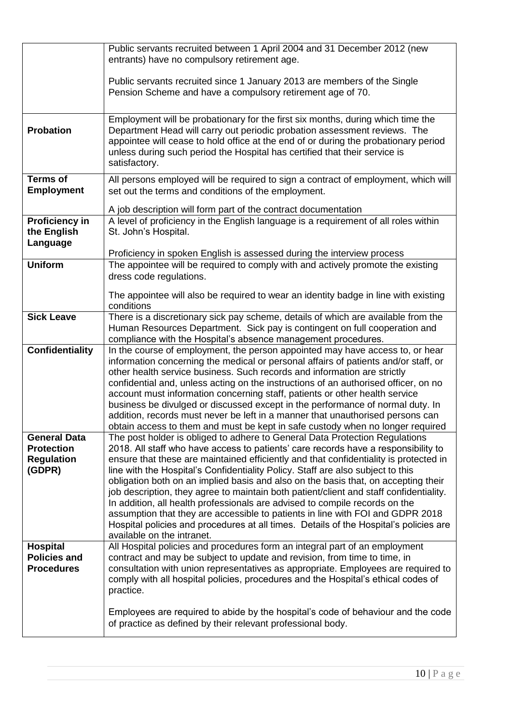|                                                                         | Public servants recruited between 1 April 2004 and 31 December 2012 (new<br>entrants) have no compulsory retirement age.                                                                                                                                                                                                                                                                                                                                                                                                                                                                                                                                                                                                                                                                                              |
|-------------------------------------------------------------------------|-----------------------------------------------------------------------------------------------------------------------------------------------------------------------------------------------------------------------------------------------------------------------------------------------------------------------------------------------------------------------------------------------------------------------------------------------------------------------------------------------------------------------------------------------------------------------------------------------------------------------------------------------------------------------------------------------------------------------------------------------------------------------------------------------------------------------|
|                                                                         | Public servants recruited since 1 January 2013 are members of the Single                                                                                                                                                                                                                                                                                                                                                                                                                                                                                                                                                                                                                                                                                                                                              |
|                                                                         | Pension Scheme and have a compulsory retirement age of 70.                                                                                                                                                                                                                                                                                                                                                                                                                                                                                                                                                                                                                                                                                                                                                            |
| <b>Probation</b>                                                        | Employment will be probationary for the first six months, during which time the<br>Department Head will carry out periodic probation assessment reviews. The<br>appointee will cease to hold office at the end of or during the probationary period<br>unless during such period the Hospital has certified that their service is<br>satisfactory.                                                                                                                                                                                                                                                                                                                                                                                                                                                                    |
| <b>Terms of</b><br><b>Employment</b>                                    | All persons employed will be required to sign a contract of employment, which will<br>set out the terms and conditions of the employment.                                                                                                                                                                                                                                                                                                                                                                                                                                                                                                                                                                                                                                                                             |
|                                                                         | A job description will form part of the contract documentation                                                                                                                                                                                                                                                                                                                                                                                                                                                                                                                                                                                                                                                                                                                                                        |
| <b>Proficiency in</b><br>the English<br>Language                        | A level of proficiency in the English language is a requirement of all roles within<br>St. John's Hospital.                                                                                                                                                                                                                                                                                                                                                                                                                                                                                                                                                                                                                                                                                                           |
|                                                                         | Proficiency in spoken English is assessed during the interview process                                                                                                                                                                                                                                                                                                                                                                                                                                                                                                                                                                                                                                                                                                                                                |
| <b>Uniform</b>                                                          | The appointee will be required to comply with and actively promote the existing                                                                                                                                                                                                                                                                                                                                                                                                                                                                                                                                                                                                                                                                                                                                       |
|                                                                         | dress code regulations.                                                                                                                                                                                                                                                                                                                                                                                                                                                                                                                                                                                                                                                                                                                                                                                               |
|                                                                         | The appointee will also be required to wear an identity badge in line with existing<br>conditions                                                                                                                                                                                                                                                                                                                                                                                                                                                                                                                                                                                                                                                                                                                     |
| <b>Sick Leave</b>                                                       | There is a discretionary sick pay scheme, details of which are available from the<br>Human Resources Department. Sick pay is contingent on full cooperation and<br>compliance with the Hospital's absence management procedures.                                                                                                                                                                                                                                                                                                                                                                                                                                                                                                                                                                                      |
| <b>Confidentiality</b>                                                  | In the course of employment, the person appointed may have access to, or hear<br>information concerning the medical or personal affairs of patients and/or staff, or<br>other health service business. Such records and information are strictly<br>confidential and, unless acting on the instructions of an authorised officer, on no<br>account must information concerning staff, patients or other health service<br>business be divulged or discussed except in the performance of normal duty. In<br>addition, records must never be left in a manner that unauthorised persons can<br>obtain access to them and must be kept in safe custody when no longer required                                                                                                                                          |
| <b>General Data</b><br><b>Protection</b><br><b>Regulation</b><br>(GDPR) | The post holder is obliged to adhere to General Data Protection Regulations<br>2018. All staff who have access to patients' care records have a responsibility to<br>ensure that these are maintained efficiently and that confidentiality is protected in<br>line with the Hospital's Confidentiality Policy. Staff are also subject to this<br>obligation both on an implied basis and also on the basis that, on accepting their<br>job description, they agree to maintain both patient/client and staff confidentiality.<br>In addition, all health professionals are advised to compile records on the<br>assumption that they are accessible to patients in line with FOI and GDPR 2018<br>Hospital policies and procedures at all times. Details of the Hospital's policies are<br>available on the intranet. |
| Hospital<br><b>Policies and</b><br><b>Procedures</b>                    | All Hospital policies and procedures form an integral part of an employment<br>contract and may be subject to update and revision, from time to time, in<br>consultation with union representatives as appropriate. Employees are required to<br>comply with all hospital policies, procedures and the Hospital's ethical codes of<br>practice.                                                                                                                                                                                                                                                                                                                                                                                                                                                                       |
|                                                                         | Employees are required to abide by the hospital's code of behaviour and the code<br>of practice as defined by their relevant professional body.                                                                                                                                                                                                                                                                                                                                                                                                                                                                                                                                                                                                                                                                       |